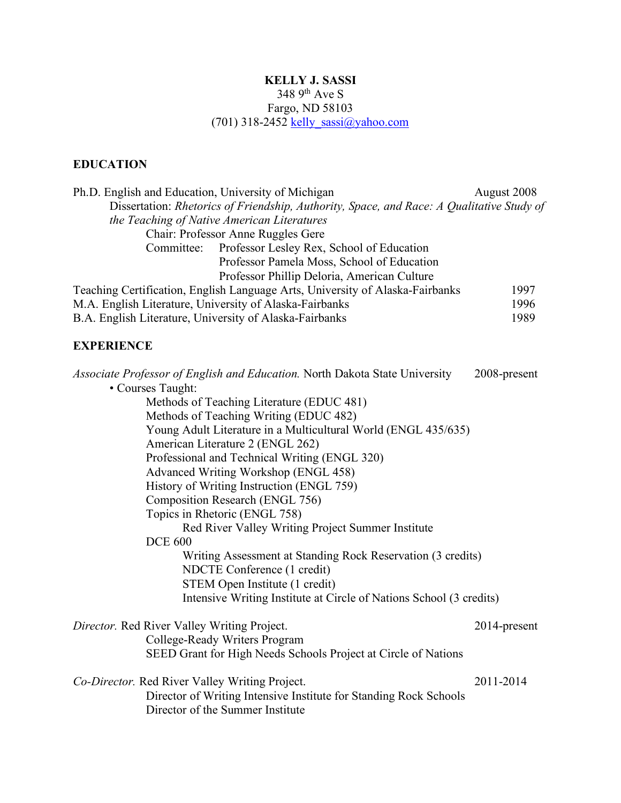## **KELLY J. SASSI** 348 9th Ave S Fargo, ND 58103 (701) 318-2452 kelly\_sassi@yahoo.com

# **EDUCATION**

| Ph.D. English and Education, University of Michigan                                       | August 2008 |
|-------------------------------------------------------------------------------------------|-------------|
| Dissertation: Rhetorics of Friendship, Authority, Space, and Race: A Qualitative Study of |             |
| the Teaching of Native American Literatures                                               |             |
| Chair: Professor Anne Ruggles Gere                                                        |             |
| Committee: Professor Lesley Rex, School of Education                                      |             |
| Professor Pamela Moss, School of Education                                                |             |
| Professor Phillip Deloria, American Culture                                               |             |
| Teaching Certification, English Language Arts, University of Alaska-Fairbanks             | 1997        |
| M.A. English Literature, University of Alaska-Fairbanks                                   | 1996        |
| B.A. English Literature, University of Alaska-Fairbanks                                   | 1989        |

# **EXPERIENCE**

| <i>Associate Professor of English and Education.</i> North Dakota State University | 2008-present |
|------------------------------------------------------------------------------------|--------------|
| • Courses Taught:                                                                  |              |
| Methods of Teaching Literature (EDUC 481)                                          |              |
| Methods of Teaching Writing (EDUC 482)                                             |              |
| Young Adult Literature in a Multicultural World (ENGL 435/635)                     |              |
| American Literature 2 (ENGL 262)                                                   |              |
| Professional and Technical Writing (ENGL 320)                                      |              |
| Advanced Writing Workshop (ENGL 458)                                               |              |
| History of Writing Instruction (ENGL 759)                                          |              |
| Composition Research (ENGL 756)                                                    |              |
| Topics in Rhetoric (ENGL 758)                                                      |              |
| Red River Valley Writing Project Summer Institute                                  |              |
| <b>DCE 600</b>                                                                     |              |
| Writing Assessment at Standing Rock Reservation (3 credits)                        |              |
| NDCTE Conference (1 credit)                                                        |              |
| STEM Open Institute (1 credit)                                                     |              |
| Intensive Writing Institute at Circle of Nations School (3 credits)                |              |
| <i>Director.</i> Red River Valley Writing Project.                                 | 2014-present |
| College-Ready Writers Program                                                      |              |
| SEED Grant for High Needs Schools Project at Circle of Nations                     |              |
| 2011-2014<br>Co-Director. Red River Valley Writing Project.                        |              |
| Director of Writing Intensive Institute for Standing Rock Schools                  |              |
| Director of the Summer Institute                                                   |              |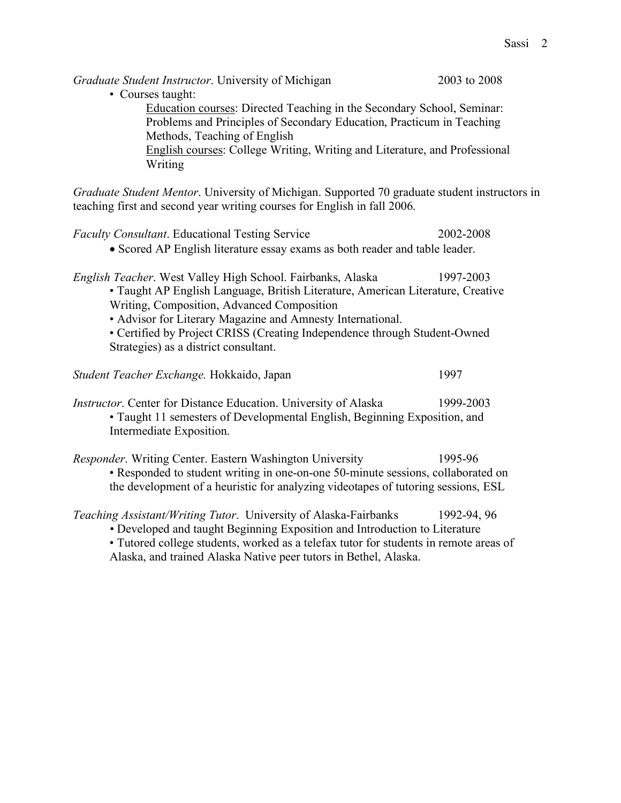*Graduate Student Instructor*. University of Michigan 2003 to 2008 • Courses taught: Education courses: Directed Teaching in the Secondary School, Seminar: Problems and Principles of Secondary Education, Practicum in Teaching Methods, Teaching of English English courses: College Writing, Writing and Literature, and Professional Writing *Graduate Student Mentor*. University of Michigan. Supported 70 graduate student instructors in teaching first and second year writing courses for English in fall 2006. *Faculty Consultant*. Educational Testing Service 2002-2008 • Scored AP English literature essay exams as both reader and table leader. *English Teacher*. West Valley High School. Fairbanks, Alaska 1997-2003 • Taught AP English Language, British Literature, American Literature, Creative Writing, Composition, Advanced Composition • Advisor for Literary Magazine and Amnesty International. • Certified by Project CRISS (Creating Independence through Student-Owned Strategies) as a district consultant. *Student Teacher Exchange.* Hokkaido, Japan 1997 *Instructor*. Center for Distance Education. University of Alaska 1999-2003 • Taught 11 semesters of Developmental English, Beginning Exposition, and Intermediate Exposition. *Responder*. Writing Center. Eastern Washington University 1995-96 • Responded to student writing in one-on-one 50-minute sessions, collaborated on the development of a heuristic for analyzing videotapes of tutoring sessions, ESL *Teaching Assistant/Writing Tutor*. University of Alaska-Fairbanks 1992-94, 96 *•* Developed and taught Beginning Exposition and Introduction to Literature • Tutored college students, worked as a telefax tutor for students in remote areas of Alaska, and trained Alaska Native peer tutors in Bethel, Alaska.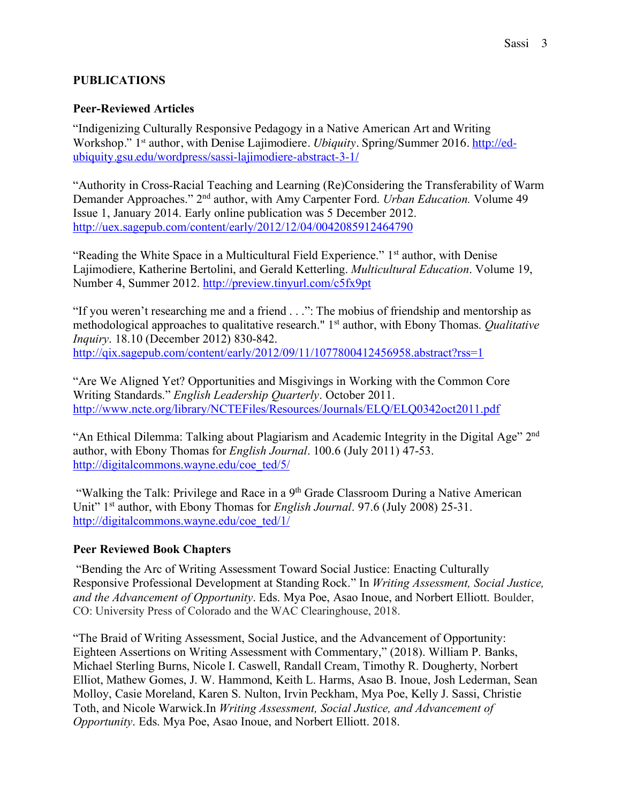## **PUBLICATIONS**

## **Peer-Reviewed Articles**

"Indigenizing Culturally Responsive Pedagogy in a Native American Art and Writing Workshop." 1st author, with Denise Lajimodiere. *Ubiquity*. Spring/Summer 2016. http://edubiquity.gsu.edu/wordpress/sassi-lajimodiere-abstract-3-1/

"Authority in Cross-Racial Teaching and Learning (Re)Considering the Transferability of Warm Demander Approaches." 2nd author, with Amy Carpenter Ford. *Urban Education.* Volume 49 Issue 1, January 2014. Early online publication was 5 December 2012. http://uex.sagepub.com/content/early/2012/12/04/0042085912464790

"Reading the White Space in a Multicultural Field Experience." 1st author, with Denise Lajimodiere, Katherine Bertolini, and Gerald Ketterling. *Multicultural Education*. Volume 19, Number 4, Summer 2012. http://preview.tinyurl.com/c5fx9pt

"If you weren't researching me and a friend . . .": The mobius of friendship and mentorship as methodological approaches to qualitative research." 1st author, with Ebony Thomas. *Qualitative Inquiry*. 18.10 (December 2012) 830-842. http://qix.sagepub.com/content/early/2012/09/11/1077800412456958.abstract?rss=1

"Are We Aligned Yet? Opportunities and Misgivings in Working with the Common Core Writing Standards." *English Leadership Quarterly*. October 2011. http://www.ncte.org/library/NCTEFiles/Resources/Journals/ELQ/ELQ0342oct2011.pdf

"An Ethical Dilemma: Talking about Plagiarism and Academic Integrity in the Digital Age" 2nd author, with Ebony Thomas for *English Journal*. 100.6 (July 2011) 47-53. http://digitalcommons.wayne.edu/coe\_ted/5/

"Walking the Talk: Privilege and Race in a 9th Grade Classroom During a Native American Unit" 1st author, with Ebony Thomas for *English Journal*. 97.6 (July 2008) 25-31. http://digitalcommons.wayne.edu/coe\_ted/1/

## **Peer Reviewed Book Chapters**

"Bending the Arc of Writing Assessment Toward Social Justice: Enacting Culturally Responsive Professional Development at Standing Rock." In *Writing Assessment, Social Justice, and the Advancement of Opportunity*. Eds. Mya Poe, Asao Inoue, and Norbert Elliott. Boulder, CO: University Press of Colorado and the WAC Clearinghouse, 2018.

"The Braid of Writing Assessment, Social Justice, and the Advancement of Opportunity: Eighteen Assertions on Writing Assessment with Commentary," (2018). William P. Banks, Michael Sterling Burns, Nicole I. Caswell, Randall Cream, Timothy R. Dougherty, Norbert Elliot, Mathew Gomes, J. W. Hammond, Keith L. Harms, Asao B. Inoue, Josh Lederman, Sean Molloy, Casie Moreland, Karen S. Nulton, Irvin Peckham, Mya Poe, Kelly J. Sassi, Christie Toth, and Nicole Warwick.In *Writing Assessment, Social Justice, and Advancement of Opportunity*. Eds. Mya Poe, Asao Inoue, and Norbert Elliott. 2018.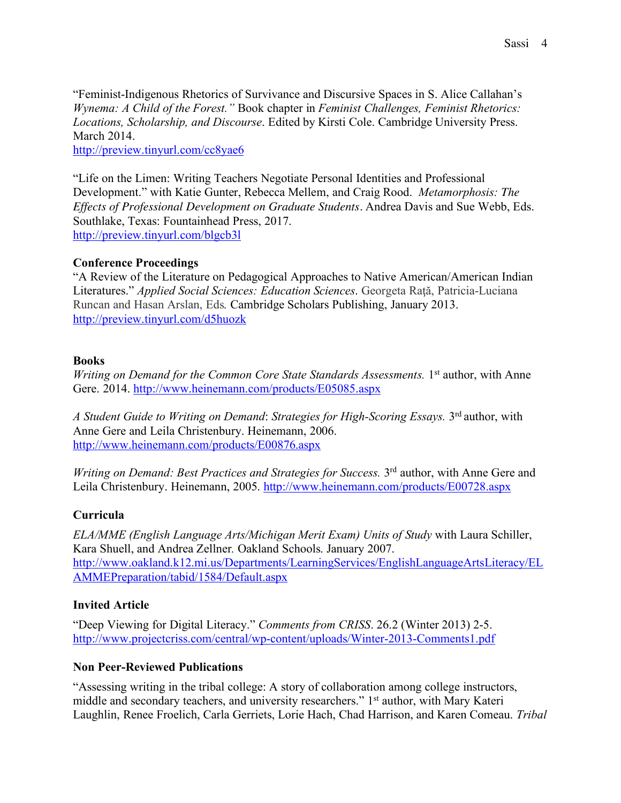"Feminist-Indigenous Rhetorics of Survivance and Discursive Spaces in S. Alice Callahan's *Wynema: A Child of the Forest."* Book chapter in *Feminist Challenges, Feminist Rhetorics: Locations, Scholarship, and Discourse*. Edited by Kirsti Cole. Cambridge University Press. March 2014.

http://preview.tinyurl.com/cc8yae6

"Life on the Limen: Writing Teachers Negotiate Personal Identities and Professional Development." with Katie Gunter, Rebecca Mellem, and Craig Rood. *Metamorphosis: The Effects of Professional Development on Graduate Students*. Andrea Davis and Sue Webb, Eds. Southlake, Texas: Fountainhead Press, 2017. http://preview.tinyurl.com/blgcb3l

## **Conference Proceedings**

"A Review of the Literature on Pedagogical Approaches to Native American/American Indian Literatures." *Applied Social Sciences: Education Sciences*, Georgeta Rată, Patricia-Luciana Runcan and Hasan Arslan, Eds*.* Cambridge Scholars Publishing, January 2013. http://preview.tinyurl.com/d5huozk

### **Books**

*Writing on Demand for the Common Core State Standards Assessments.* 1<sup>st</sup> author, with Anne Gere. 2014. http://www.heinemann.com/products/E05085.aspx

*A Student Guide to Writing on Demand*: *Strategies for High-Scoring Essays.* 3rd author, with Anne Gere and Leila Christenbury. Heinemann, 2006. http://www.heinemann.com/products/E00876.aspx

*Writing on Demand: Best Practices and Strategies for Success.* 3<sup>rd</sup> author, with Anne Gere and Leila Christenbury. Heinemann, 2005. http://www.heinemann.com/products/E00728.aspx

## **Curricula**

*ELA/MME (English Language Arts/Michigan Merit Exam) Units of Study* with Laura Schiller, Kara Shuell, and Andrea Zellner*.* Oakland Schools. January 2007. http://www.oakland.k12.mi.us/Departments/LearningServices/EnglishLanguageArtsLiteracy/EL AMMEPreparation/tabid/1584/Default.aspx

## **Invited Article**

"Deep Viewing for Digital Literacy." *Comments from CRISS*. 26.2 (Winter 2013) 2-5. http://www.projectcriss.com/central/wp-content/uploads/Winter-2013-Comments1.pdf

### **Non Peer-Reviewed Publications**

"Assessing writing in the tribal college: A story of collaboration among college instructors, middle and secondary teachers, and university researchers." 1<sup>st</sup> author, with Mary Kateri Laughlin, Renee Froelich, Carla Gerriets, Lorie Hach, Chad Harrison, and Karen Comeau. *Tribal*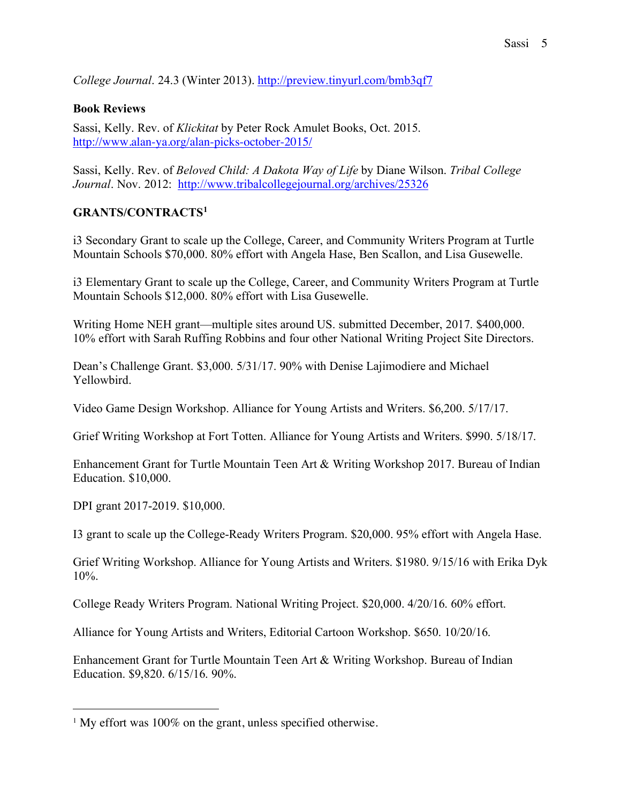*College Journal*. 24.3 (Winter 2013). http://preview.tinyurl.com/bmb3qf7

## **Book Reviews**

Sassi, Kelly. Rev. of *Klickitat* by Peter Rock Amulet Books, Oct. 2015. http://www.alan-ya.org/alan-picks-october-2015/

Sassi, Kelly. Rev. of *Beloved Child: A Dakota Way of Life* by Diane Wilson. *Tribal College Journal*. Nov. 2012: http://www.tribalcollegejournal.org/archives/25326

## **GRANTS/CONTRACTS1**

i3 Secondary Grant to scale up the College, Career, and Community Writers Program at Turtle Mountain Schools \$70,000. 80% effort with Angela Hase, Ben Scallon, and Lisa Gusewelle.

i3 Elementary Grant to scale up the College, Career, and Community Writers Program at Turtle Mountain Schools \$12,000. 80% effort with Lisa Gusewelle.

Writing Home NEH grant—multiple sites around US. submitted December, 2017. \$400,000. 10% effort with Sarah Ruffing Robbins and four other National Writing Project Site Directors.

Dean's Challenge Grant. \$3,000. 5/31/17. 90% with Denise Lajimodiere and Michael Yellowbird.

Video Game Design Workshop. Alliance for Young Artists and Writers. \$6,200. 5/17/17.

Grief Writing Workshop at Fort Totten. Alliance for Young Artists and Writers. \$990. 5/18/17.

Enhancement Grant for Turtle Mountain Teen Art & Writing Workshop 2017. Bureau of Indian Education. \$10,000.

DPI grant 2017-2019. \$10,000.

I3 grant to scale up the College-Ready Writers Program. \$20,000. 95% effort with Angela Hase.

Grief Writing Workshop. Alliance for Young Artists and Writers. \$1980. 9/15/16 with Erika Dyk 10%.

College Ready Writers Program. National Writing Project. \$20,000. 4/20/16. 60% effort.

Alliance for Young Artists and Writers, Editorial Cartoon Workshop. \$650. 10/20/16.

Enhancement Grant for Turtle Mountain Teen Art & Writing Workshop. Bureau of Indian Education. \$9,820. 6/15/16. 90%.

<sup>&</sup>lt;sup>1</sup> My effort was 100% on the grant, unless specified otherwise.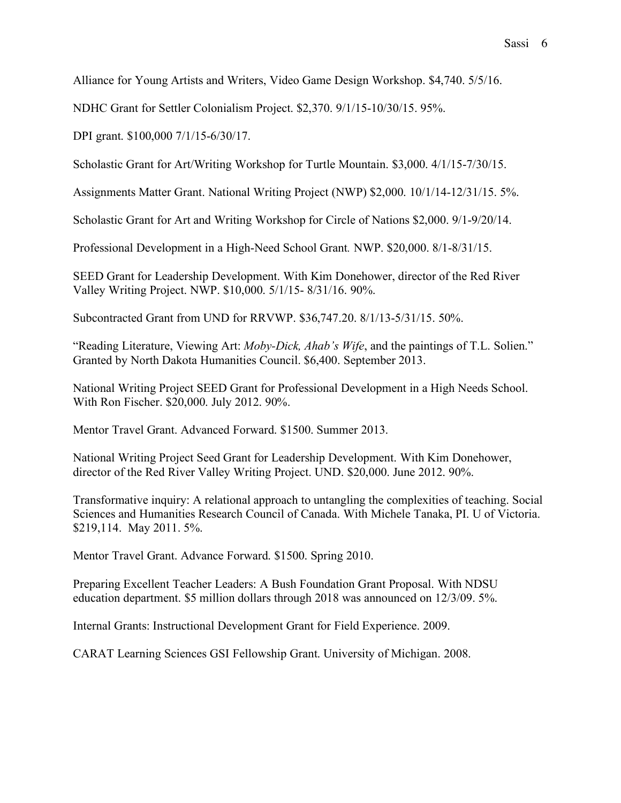Alliance for Young Artists and Writers, Video Game Design Workshop. \$4,740. 5/5/16.

NDHC Grant for Settler Colonialism Project. \$2,370. 9/1/15-10/30/15. 95%.

DPI grant. \$100,000 7/1/15-6/30/17.

Scholastic Grant for Art/Writing Workshop for Turtle Mountain. \$3,000. 4/1/15-7/30/15.

Assignments Matter Grant. National Writing Project (NWP) \$2,000. 10/1/14-12/31/15. 5%.

Scholastic Grant for Art and Writing Workshop for Circle of Nations \$2,000. 9/1-9/20/14.

Professional Development in a High-Need School Grant*.* NWP. \$20,000. 8/1-8/31/15.

SEED Grant for Leadership Development. With Kim Donehower, director of the Red River Valley Writing Project. NWP. \$10,000. 5/1/15- 8/31/16. 90%.

Subcontracted Grant from UND for RRVWP. \$36,747.20. 8/1/13-5/31/15. 50%.

"Reading Literature, Viewing Art: *Moby-Dick, Ahab's Wife*, and the paintings of T.L. Solien." Granted by North Dakota Humanities Council. \$6,400. September 2013.

National Writing Project SEED Grant for Professional Development in a High Needs School. With Ron Fischer. \$20,000. July 2012. 90%.

Mentor Travel Grant. Advanced Forward. \$1500. Summer 2013.

National Writing Project Seed Grant for Leadership Development. With Kim Donehower, director of the Red River Valley Writing Project. UND. \$20,000. June 2012. 90%.

Transformative inquiry: A relational approach to untangling the complexities of teaching. Social Sciences and Humanities Research Council of Canada. With Michele Tanaka, PI. U of Victoria. \$219,114. May 2011. 5%.

Mentor Travel Grant. Advance Forward. \$1500. Spring 2010.

Preparing Excellent Teacher Leaders: A Bush Foundation Grant Proposal. With NDSU education department. \$5 million dollars through 2018 was announced on 12/3/09. 5%.

Internal Grants: Instructional Development Grant for Field Experience. 2009.

CARAT Learning Sciences GSI Fellowship Grant. University of Michigan. 2008.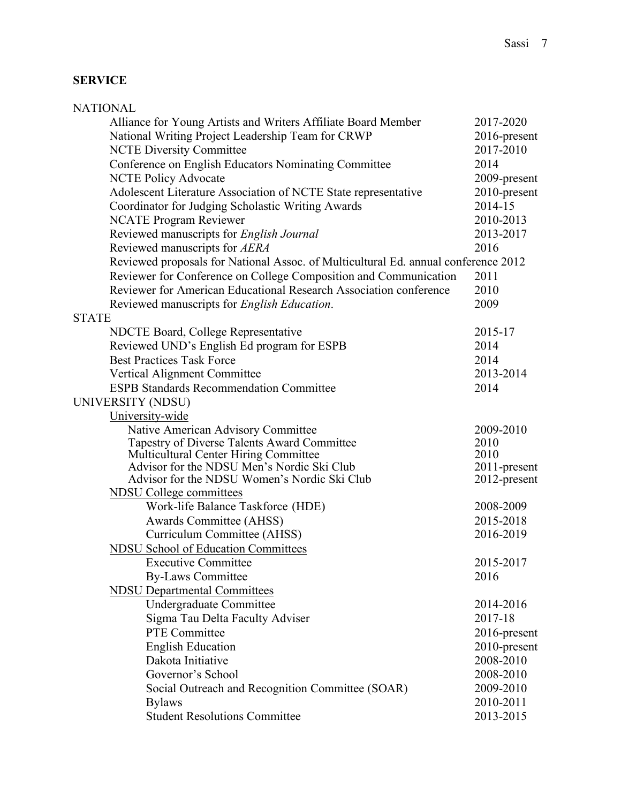# **SERVICE**

|              | <b>NATIONAL</b>                                                                     |                              |
|--------------|-------------------------------------------------------------------------------------|------------------------------|
|              | Alliance for Young Artists and Writers Affiliate Board Member                       | 2017-2020                    |
|              | National Writing Project Leadership Team for CRWP                                   | 2016-present                 |
|              | <b>NCTE Diversity Committee</b>                                                     | 2017-2010                    |
|              | Conference on English Educators Nominating Committee                                | 2014                         |
|              | <b>NCTE Policy Advocate</b>                                                         | 2009-present                 |
|              | Adolescent Literature Association of NCTE State representative                      | 2010-present                 |
|              | Coordinator for Judging Scholastic Writing Awards                                   | 2014-15                      |
|              | <b>NCATE Program Reviewer</b>                                                       | 2010-2013                    |
|              | Reviewed manuscripts for English Journal                                            | 2013-2017                    |
|              | Reviewed manuscripts for AERA                                                       | 2016                         |
|              | Reviewed proposals for National Assoc. of Multicultural Ed. annual conference 2012  |                              |
|              | Reviewer for Conference on College Composition and Communication                    | 2011                         |
|              | Reviewer for American Educational Research Association conference                   | 2010                         |
|              | Reviewed manuscripts for <i>English Education</i> .                                 | 2009                         |
| <b>STATE</b> |                                                                                     |                              |
|              | <b>NDCTE Board, College Representative</b>                                          | 2015-17                      |
|              | Reviewed UND's English Ed program for ESPB                                          | 2014                         |
|              | <b>Best Practices Task Force</b>                                                    | 2014                         |
|              | Vertical Alignment Committee                                                        | 2013-2014                    |
|              | <b>ESPB Standards Recommendation Committee</b>                                      | 2014                         |
|              | UNIVERSITY (NDSU)                                                                   |                              |
|              | University-wide                                                                     |                              |
|              | Native American Advisory Committee                                                  | 2009-2010                    |
|              | Tapestry of Diverse Talents Award Committee                                         | 2010                         |
|              | Multicultural Center Hiring Committee<br>Advisor for the NDSU Men's Nordic Ski Club | 2010                         |
|              | Advisor for the NDSU Women's Nordic Ski Club                                        | 2011-present<br>2012-present |
|              | <b>NDSU</b> College committees                                                      |                              |
|              | Work-life Balance Taskforce (HDE)                                                   | 2008-2009                    |
|              | <b>Awards Committee (AHSS)</b>                                                      | 2015-2018                    |
|              | Curriculum Committee (AHSS)                                                         | 2016-2019                    |
|              | <b>NDSU School of Education Committees</b>                                          |                              |
|              | <b>Executive Committee</b>                                                          | 2015-2017                    |
|              | <b>By-Laws Committee</b>                                                            | 2016                         |
|              | <b>NDSU Departmental Committees</b>                                                 |                              |
|              | <b>Undergraduate Committee</b>                                                      | 2014-2016                    |
|              | Sigma Tau Delta Faculty Adviser                                                     | 2017-18                      |
|              | <b>PTE Committee</b>                                                                | 2016-present                 |
|              | <b>English Education</b>                                                            | 2010-present                 |
|              | Dakota Initiative                                                                   | 2008-2010                    |
|              | Governor's School                                                                   | 2008-2010                    |
|              | Social Outreach and Recognition Committee (SOAR)                                    | 2009-2010                    |
|              | <b>Bylaws</b>                                                                       | 2010-2011                    |
|              | <b>Student Resolutions Committee</b>                                                | 2013-2015                    |
|              |                                                                                     |                              |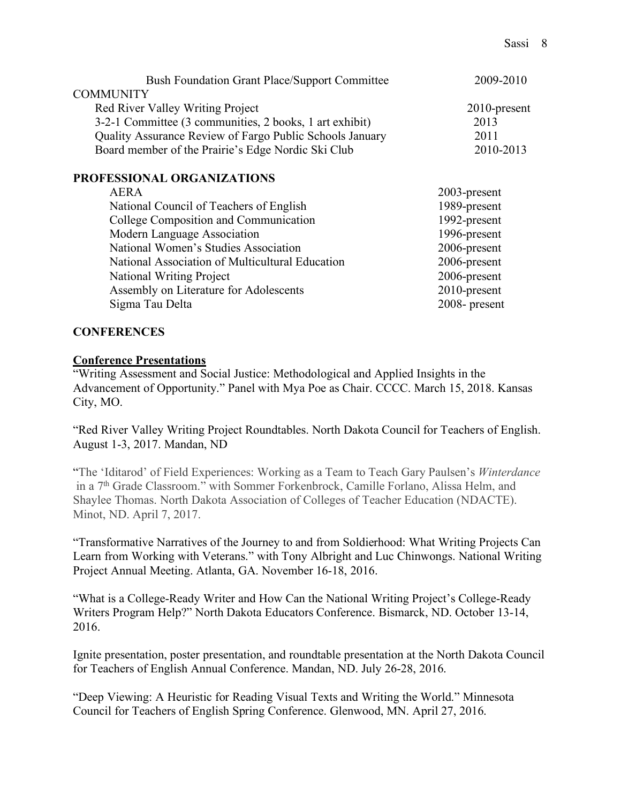| <b>Bush Foundation Grant Place/Support Committee</b>     | 2009-2010       |
|----------------------------------------------------------|-----------------|
| <b>COMMUNITY</b>                                         |                 |
| Red River Valley Writing Project                         | $2010$ -present |
| 3-2-1 Committee (3 communities, 2 books, 1 art exhibit)  | 2013            |
| Quality Assurance Review of Fargo Public Schools January | 2011            |
| Board member of the Prairie's Edge Nordic Ski Club       | 2010-2013       |
| PROFESSIONAL ORGANIZATIONS                               |                 |
| <b>AERA</b>                                              | 2003-present    |
| National Council of Teachers of English                  | 1989-present    |
| College Composition and Communication                    | 1992-present    |
| Modern Language Association                              | 1996-present    |
| National Women's Studies Association                     | 2006-present    |
| National Association of Multicultural Education          | 2006-present    |
| National Writing Project                                 | 2006-present    |
| Assembly on Literature for Adolescents                   | 2010-present    |
| Sigma Tau Delta                                          | 2008-present    |

### **CONFERENCES**

### **Conference Presentations**

"Writing Assessment and Social Justice: Methodological and Applied Insights in the Advancement of Opportunity." Panel with Mya Poe as Chair. CCCC. March 15, 2018. Kansas City, MO.

"Red River Valley Writing Project Roundtables. North Dakota Council for Teachers of English. August 1-3, 2017. Mandan, ND

"The 'Iditarod' of Field Experiences: Working as a Team to Teach Gary Paulsen's *Winterdance* in a 7<sup>th</sup> Grade Classroom." with Sommer Forkenbrock, Camille Forlano, Alissa Helm, and Shaylee Thomas. North Dakota Association of Colleges of Teacher Education (NDACTE). Minot, ND. April 7, 2017.

"Transformative Narratives of the Journey to and from Soldierhood: What Writing Projects Can Learn from Working with Veterans." with Tony Albright and Luc Chinwongs. National Writing Project Annual Meeting. Atlanta, GA. November 16-18, 2016.

"What is a College-Ready Writer and How Can the National Writing Project's College-Ready Writers Program Help?" North Dakota Educators Conference. Bismarck, ND. October 13-14, 2016.

Ignite presentation, poster presentation, and roundtable presentation at the North Dakota Council for Teachers of English Annual Conference. Mandan, ND. July 26-28, 2016.

"Deep Viewing: A Heuristic for Reading Visual Texts and Writing the World." Minnesota Council for Teachers of English Spring Conference. Glenwood, MN. April 27, 2016.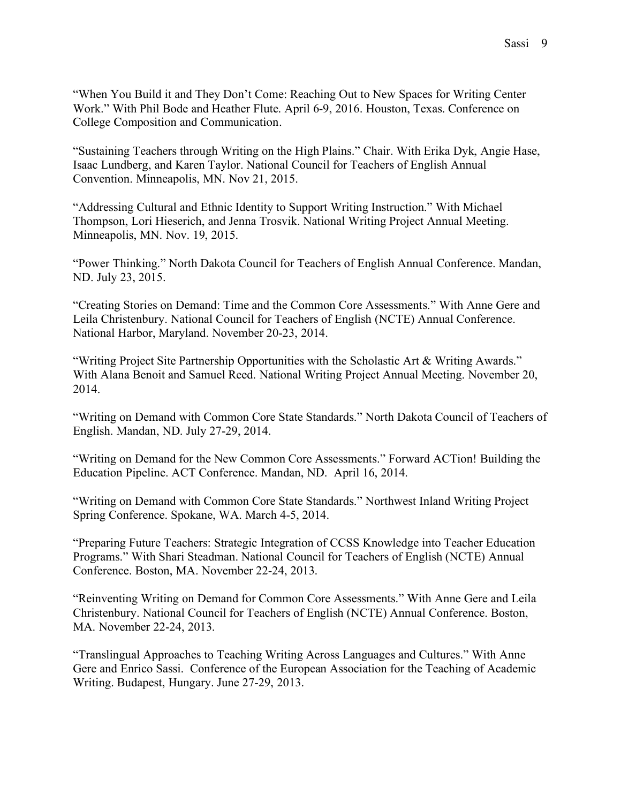"When You Build it and They Don't Come: Reaching Out to New Spaces for Writing Center Work." With Phil Bode and Heather Flute. April 6-9, 2016. Houston, Texas. Conference on College Composition and Communication.

"Sustaining Teachers through Writing on the High Plains." Chair. With Erika Dyk, Angie Hase, Isaac Lundberg, and Karen Taylor. National Council for Teachers of English Annual Convention. Minneapolis, MN. Nov 21, 2015.

"Addressing Cultural and Ethnic Identity to Support Writing Instruction." With Michael Thompson, Lori Hieserich, and Jenna Trosvik. National Writing Project Annual Meeting. Minneapolis, MN. Nov. 19, 2015.

"Power Thinking." North Dakota Council for Teachers of English Annual Conference. Mandan, ND. July 23, 2015.

"Creating Stories on Demand: Time and the Common Core Assessments." With Anne Gere and Leila Christenbury. National Council for Teachers of English (NCTE) Annual Conference. National Harbor, Maryland. November 20-23, 2014.

"Writing Project Site Partnership Opportunities with the Scholastic Art & Writing Awards." With Alana Benoit and Samuel Reed. National Writing Project Annual Meeting. November 20, 2014.

"Writing on Demand with Common Core State Standards." North Dakota Council of Teachers of English. Mandan, ND. July 27-29, 2014.

"Writing on Demand for the New Common Core Assessments." Forward ACTion! Building the Education Pipeline. ACT Conference. Mandan, ND. April 16, 2014.

"Writing on Demand with Common Core State Standards." Northwest Inland Writing Project Spring Conference. Spokane, WA. March 4-5, 2014.

"Preparing Future Teachers: Strategic Integration of CCSS Knowledge into Teacher Education Programs." With Shari Steadman. National Council for Teachers of English (NCTE) Annual Conference. Boston, MA. November 22-24, 2013.

"Reinventing Writing on Demand for Common Core Assessments." With Anne Gere and Leila Christenbury. National Council for Teachers of English (NCTE) Annual Conference. Boston, MA. November 22-24, 2013.

"Translingual Approaches to Teaching Writing Across Languages and Cultures." With Anne Gere and Enrico Sassi. Conference of the European Association for the Teaching of Academic Writing. Budapest, Hungary. June 27-29, 2013.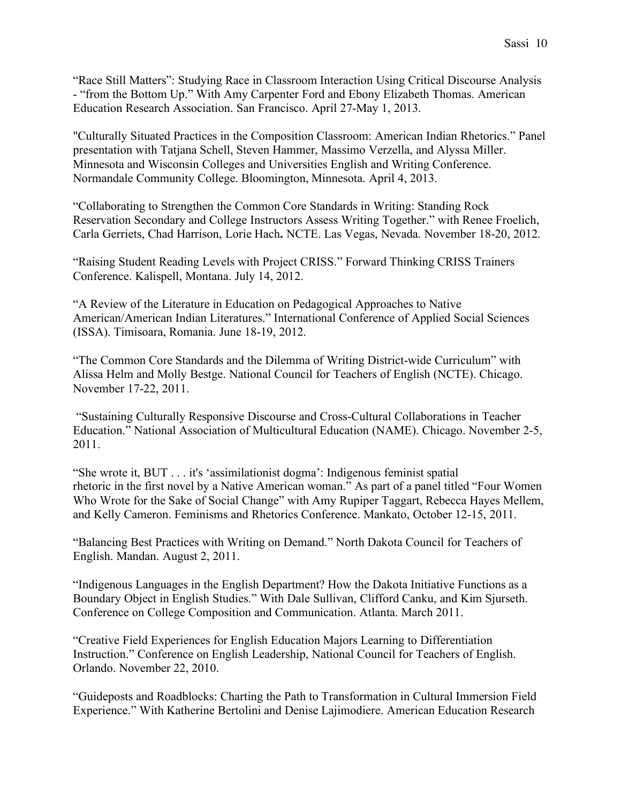"Race Still Matters": Studying Race in Classroom Interaction Using Critical Discourse Analysis - "from the Bottom Up." With Amy Carpenter Ford and Ebony Elizabeth Thomas. American Education Research Association. San Francisco. April 27-May 1, 2013.

"Culturally Situated Practices in the Composition Classroom: American Indian Rhetorics." Panel presentation with Tatjana Schell, Steven Hammer, Massimo Verzella, and Alyssa Miller. Minnesota and Wisconsin Colleges and Universities English and Writing Conference. Normandale Community College. Bloomington, Minnesota. April 4, 2013.

"Collaborating to Strengthen the Common Core Standards in Writing: Standing Rock Reservation Secondary and College Instructors Assess Writing Together." with Renee Froelich, Carla Gerriets, Chad Harrison, Lorie Hach**.** NCTE. Las Vegas, Nevada. November 18-20, 2012.

"Raising Student Reading Levels with Project CRISS." Forward Thinking CRISS Trainers Conference. Kalispell, Montana. July 14, 2012.

"A Review of the Literature in Education on Pedagogical Approaches to Native American/American Indian Literatures." International Conference of Applied Social Sciences (ISSA). Timisoara, Romania. June 18-19, 2012.

"The Common Core Standards and the Dilemma of Writing District-wide Curriculum" with Alissa Helm and Molly Bestge. National Council for Teachers of English (NCTE). Chicago. November 17-22, 2011.

"Sustaining Culturally Responsive Discourse and Cross-Cultural Collaborations in Teacher Education." National Association of Multicultural Education (NAME). Chicago. November 2-5, 2011.

"She wrote it, BUT . . . it's 'assimilationist dogma': Indigenous feminist spatial rhetoric in the first novel by a Native American woman." As part of a panel titled "Four Women Who Wrote for the Sake of Social Change" with Amy Rupiper Taggart, Rebecca Hayes Mellem, and Kelly Cameron. Feminisms and Rhetorics Conference. Mankato, October 12-15, 2011.

"Balancing Best Practices with Writing on Demand." North Dakota Council for Teachers of English. Mandan. August 2, 2011.

"Indigenous Languages in the English Department? How the Dakota Initiative Functions as a Boundary Object in English Studies." With Dale Sullivan, Clifford Canku, and Kim Sjurseth. Conference on College Composition and Communication. Atlanta. March 2011.

"Creative Field Experiences for English Education Majors Learning to Differentiation Instruction." Conference on English Leadership, National Council for Teachers of English. Orlando. November 22, 2010.

"Guideposts and Roadblocks: Charting the Path to Transformation in Cultural Immersion Field Experience." With Katherine Bertolini and Denise Lajimodiere. American Education Research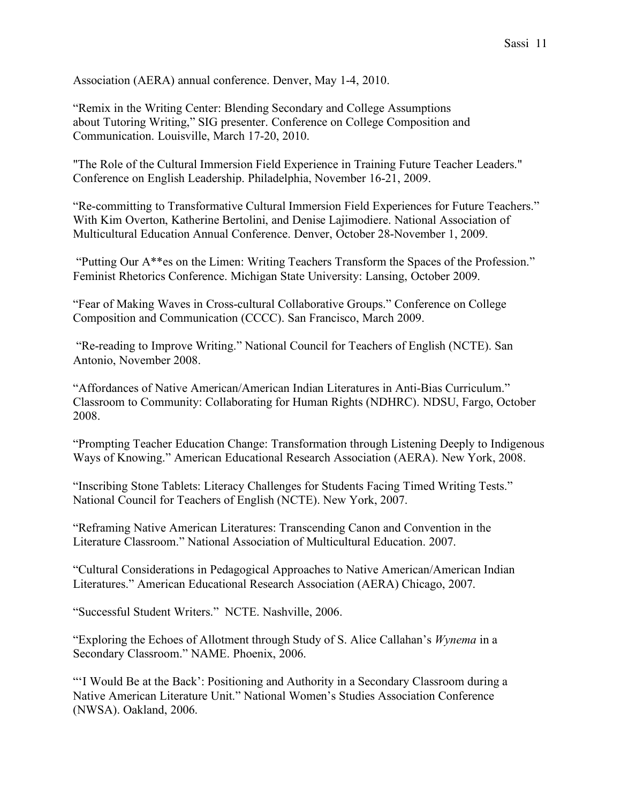Association (AERA) annual conference. Denver, May 1-4, 2010.

"Remix in the Writing Center: Blending Secondary and College Assumptions about Tutoring Writing," SIG presenter. Conference on College Composition and Communication. Louisville, March 17-20, 2010.

"The Role of the Cultural Immersion Field Experience in Training Future Teacher Leaders." Conference on English Leadership. Philadelphia, November 16-21, 2009.

"Re-committing to Transformative Cultural Immersion Field Experiences for Future Teachers." With Kim Overton, Katherine Bertolini, and Denise Lajimodiere. National Association of Multicultural Education Annual Conference. Denver, October 28-November 1, 2009.

"Putting Our A\*\*es on the Limen: Writing Teachers Transform the Spaces of the Profession." Feminist Rhetorics Conference. Michigan State University: Lansing, October 2009.

"Fear of Making Waves in Cross-cultural Collaborative Groups." Conference on College Composition and Communication (CCCC). San Francisco, March 2009.

"Re-reading to Improve Writing." National Council for Teachers of English (NCTE). San Antonio, November 2008.

"Affordances of Native American/American Indian Literatures in Anti-Bias Curriculum." Classroom to Community: Collaborating for Human Rights (NDHRC). NDSU, Fargo, October 2008.

"Prompting Teacher Education Change: Transformation through Listening Deeply to Indigenous Ways of Knowing." American Educational Research Association (AERA). New York, 2008.

"Inscribing Stone Tablets: Literacy Challenges for Students Facing Timed Writing Tests." National Council for Teachers of English (NCTE). New York, 2007.

"Reframing Native American Literatures: Transcending Canon and Convention in the Literature Classroom." National Association of Multicultural Education. 2007.

"Cultural Considerations in Pedagogical Approaches to Native American/American Indian Literatures." American Educational Research Association (AERA) Chicago, 2007.

"Successful Student Writers." NCTE. Nashville, 2006.

"Exploring the Echoes of Allotment through Study of S. Alice Callahan's *Wynema* in a Secondary Classroom." NAME. Phoenix, 2006.

"'I Would Be at the Back': Positioning and Authority in a Secondary Classroom during a Native American Literature Unit." National Women's Studies Association Conference (NWSA). Oakland, 2006.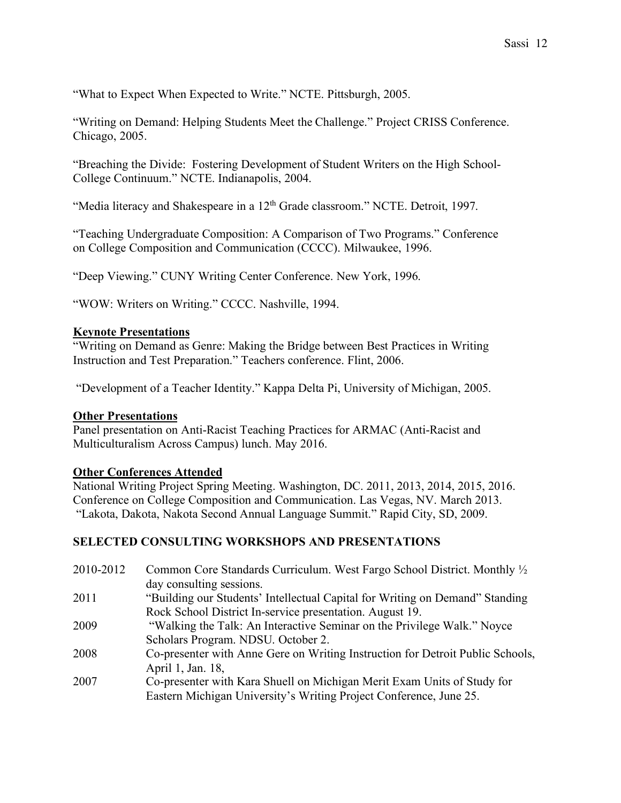"What to Expect When Expected to Write." NCTE. Pittsburgh, 2005.

"Writing on Demand: Helping Students Meet the Challenge." Project CRISS Conference. Chicago, 2005.

"Breaching the Divide: Fostering Development of Student Writers on the High School-College Continuum." NCTE. Indianapolis, 2004.

"Media literacy and Shakespeare in a 12<sup>th</sup> Grade classroom." NCTE. Detroit, 1997.

"Teaching Undergraduate Composition: A Comparison of Two Programs." Conference on College Composition and Communication (CCCC). Milwaukee, 1996.

"Deep Viewing." CUNY Writing Center Conference. New York, 1996.

"WOW: Writers on Writing." CCCC. Nashville, 1994.

### **Keynote Presentations**

"Writing on Demand as Genre: Making the Bridge between Best Practices in Writing Instruction and Test Preparation." Teachers conference. Flint, 2006.

"Development of a Teacher Identity." Kappa Delta Pi, University of Michigan, 2005.

### **Other Presentations**

Panel presentation on Anti-Racist Teaching Practices for ARMAC (Anti-Racist and Multiculturalism Across Campus) lunch. May 2016.

### **Other Conferences Attended**

National Writing Project Spring Meeting. Washington, DC. 2011, 2013, 2014, 2015, 2016. Conference on College Composition and Communication. Las Vegas, NV. March 2013. "Lakota, Dakota, Nakota Second Annual Language Summit." Rapid City, SD, 2009.

### **SELECTED CONSULTING WORKSHOPS AND PRESENTATIONS**

| 2010-2012 | Common Core Standards Curriculum. West Fargo School District. Monthly <sup>1/2</sup> |
|-----------|--------------------------------------------------------------------------------------|
|           | day consulting sessions.                                                             |
| 2011      | "Building our Students' Intellectual Capital for Writing on Demand" Standing         |
|           | Rock School District In-service presentation. August 19.                             |
| 2009      | "Walking the Talk: An Interactive Seminar on the Privilege Walk." Noyce              |
|           | Scholars Program. NDSU. October 2.                                                   |
| 2008      | Co-presenter with Anne Gere on Writing Instruction for Detroit Public Schools,       |
|           | April 1, Jan. 18,                                                                    |
| 2007      | Co-presenter with Kara Shuell on Michigan Merit Exam Units of Study for              |
|           | Eastern Michigan University's Writing Project Conference, June 25.                   |
|           |                                                                                      |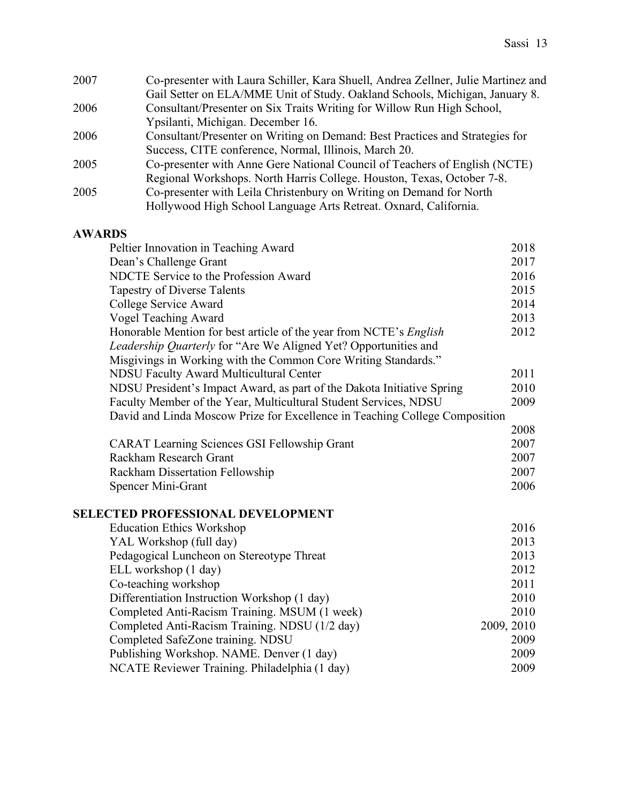| 2007 | Co-presenter with Laura Schiller, Kara Shuell, Andrea Zellner, Julie Martinez and |
|------|-----------------------------------------------------------------------------------|
|      | Gail Setter on ELA/MME Unit of Study. Oakland Schools, Michigan, January 8.       |
| 2006 | Consultant/Presenter on Six Traits Writing for Willow Run High School,            |
|      | Ypsilanti, Michigan. December 16.                                                 |
| 2006 | Consultant/Presenter on Writing on Demand: Best Practices and Strategies for      |
|      | Success, CITE conference, Normal, Illinois, March 20.                             |
| 2005 | Co-presenter with Anne Gere National Council of Teachers of English (NCTE)        |
|      | Regional Workshops. North Harris College. Houston, Texas, October 7-8.            |
| 2005 | Co-presenter with Leila Christenbury on Writing on Demand for North               |
|      | Hollywood High School Language Arts Retreat. Oxnard, California.                  |

## **AWARDS**

| Peltier Innovation in Teaching Award                                        | 2018       |
|-----------------------------------------------------------------------------|------------|
| Dean's Challenge Grant                                                      | 2017       |
| NDCTE Service to the Profession Award                                       | 2016       |
| <b>Tapestry of Diverse Talents</b>                                          | 2015       |
| College Service Award                                                       | 2014       |
| <b>Vogel Teaching Award</b>                                                 | 2013       |
| Honorable Mention for best article of the year from NCTE's English          | 2012       |
| Leadership Quarterly for "Are We Aligned Yet? Opportunities and             |            |
| Misgivings in Working with the Common Core Writing Standards."              |            |
| <b>NDSU Faculty Award Multicultural Center</b>                              | 2011       |
| NDSU President's Impact Award, as part of the Dakota Initiative Spring      | 2010       |
| Faculty Member of the Year, Multicultural Student Services, NDSU            | 2009       |
| David and Linda Moscow Prize for Excellence in Teaching College Composition |            |
|                                                                             | 2008       |
| <b>CARAT Learning Sciences GSI Fellowship Grant</b>                         | 2007       |
| Rackham Research Grant                                                      | 2007       |
| Rackham Dissertation Fellowship                                             | 2007       |
| Spencer Mini-Grant                                                          | 2006       |
| <b>SELECTED PROFESSIONAL DEVELOPMENT</b>                                    |            |
| <b>Education Ethics Workshop</b>                                            | 2016       |
| YAL Workshop (full day)                                                     | 2013       |
| Pedagogical Luncheon on Stereotype Threat                                   | 2013       |
| ELL workshop (1 day)                                                        | 2012       |
| Co-teaching workshop                                                        | 2011       |
| Differentiation Instruction Workshop (1 day)                                | 2010       |
| Completed Anti-Racism Training. MSUM (1 week)                               | 2010       |
| Completed Anti-Racism Training. NDSU (1/2 day)                              | 2009, 2010 |
| Completed SafeZone training. NDSU                                           | 2009       |
| Publishing Workshop. NAME. Denver (1 day)                                   | 2009       |

NCATE Reviewer Training. Philadelphia (1 day) 2009